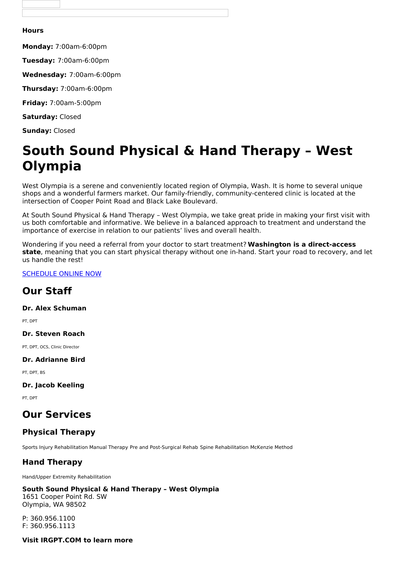#### **Hours**

**Monday:** 7:00am-6:00pm

**Tuesday:** 7:00am-6:00pm

**Wednesday:** 7:00am-6:00pm

**Thursday:** 7:00am-6:00pm

**Friday:** 7:00am-5:00pm

**Saturday:** Closed

**Sunday:** Closed

# **South Sound Physical & Hand Therapy – West Olympia**

West Olympia is a serene and conveniently located region of Olympia, Wash. It is home to several unique shops and a wonderful farmers market. Our family-friendly, community-centered clinic is located at the intersection of Cooper Point Road and Black Lake Boulevard.

At South Sound Physical & Hand Therapy – West Olympia, we take great pride in making your first visit with us both comfortable and informative. We believe in a balanced approach to treatment and understand the importance of exercise in relation to our patients' lives and overall health.

Wondering if you need a referral from your doctor to start treatment? **Washington is a direct-access state**, meaning that you can start physical therapy without one in-hand. Start your road to recovery, and let us handle the rest!

[SCHEDULE](https://listings.betterhealthcare.co/clinic-detail/south-sound-physical--hand-therapy--west-olympia/9178?utm_source=client&utm_medium=website&utm_campaign=3672) ONLINE NOW

# **Our Staff**

**Dr. Alex Schuman**

PT, DPT

**Dr. Steven Roach**

PT, DPT, OCS, Clinic Director

**Dr. Adrianne Bird**

PT, DPT, BS

**Dr. Jacob Keeling**

PT, DPT

# **Our Services**

## **Physical Therapy**

Sports Injury Rehabilitation Manual Therapy Pre and Post-Surgical Rehab Spine Rehabilitation McKenzie Method

## **Hand Therapy**

Hand/Upper Extremity Rehabilitation

#### **South Sound Physical & Hand Therapy – West Olympia**

1651 Cooper Point Rd. SW Olympia, WA 98502

P: 360.956.1100 F: 360.956.1113

**Visit IRGPT.COM to learn more**